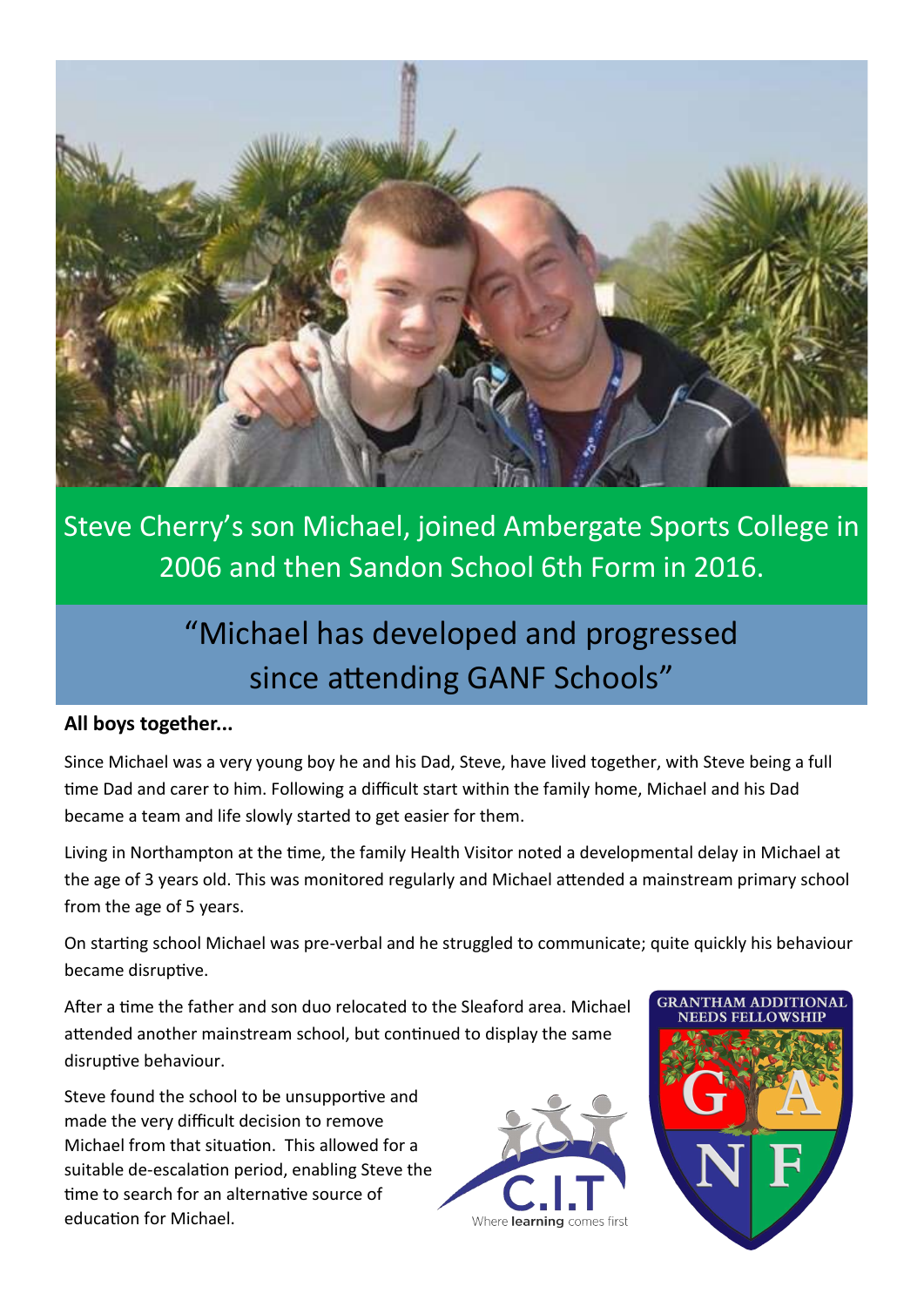

Steve Cherry's son Michael, joined Ambergate Sports College in 2006 and then Sandon School 6th Form in 2016.

# "Michael has developed and progressed since attending GANF Schools"

#### **All boys together...**

Since Michael was a very young boy he and his Dad, Steve, have lived together, with Steve being a full time Dad and carer to him. Following a difficult start within the family home, Michael and his Dad became a team and life slowly started to get easier for them.

Living in Northampton at the time, the family Health Visitor noted a developmental delay in Michael at the age of 3 years old. This was monitored regularly and Michael attended a mainstream primary school from the age of 5 years.

On starting school Michael was pre-verbal and he struggled to communicate; quite quickly his behaviour became disruptive.

After a time the father and son duo relocated to the Sleaford area. Michael attended another mainstream school, but continued to display the same disruptive behaviour.

Steve found the school to be unsupportive and made the very difficult decision to remove Michael from that situation. This allowed for a suitable de-escalation period, enabling Steve the time to search for an alternative source of education for Michael.